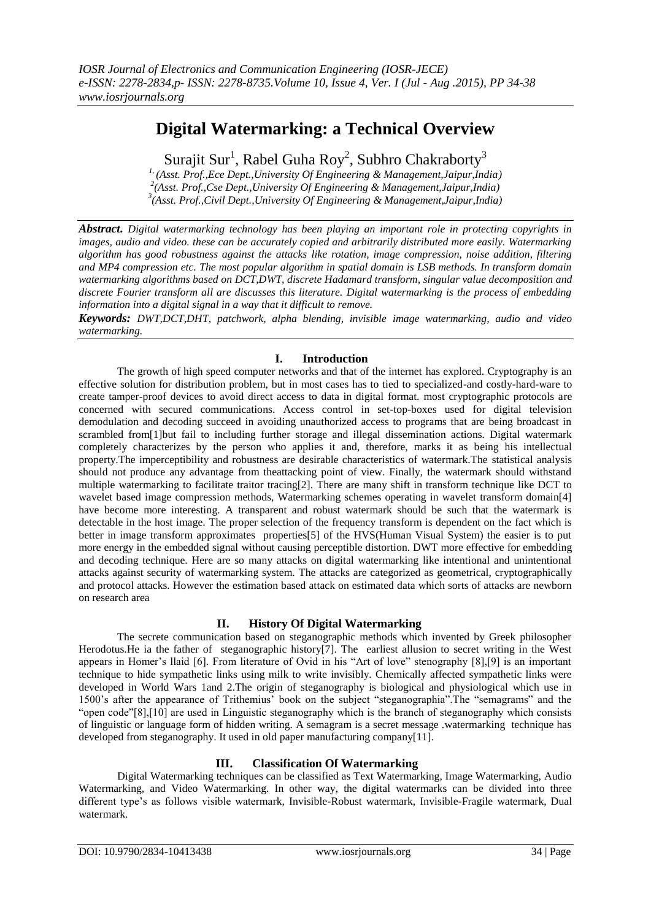# **Digital Watermarking: a Technical Overview**

Surajit Sur $^1$ , Rabel Guha Roy $^2$ , Subhro Chakraborty $^3$ 

*1, (Asst. Prof.,Ece Dept.,University Of Engineering & Management,Jaipur,India) 2 (Asst. Prof.,Cse Dept.,University Of Engineering & Management,Jaipur,India) 3 (Asst. Prof.,Civil Dept.,University Of Engineering & Management,Jaipur,India)*

*Abstract. Digital watermarking technology has been playing an important role in protecting copyrights in images, audio and video. these can be accurately copied and arbitrarily distributed more easily. Watermarking algorithm has good robustness against the attacks like rotation, image compression, noise addition, filtering and MP4 compression etc. The most popular algorithm in spatial domain is LSB methods. In transform domain watermarking algorithms based on DCT,DWT, discrete Hadamard transform, singular value decomposition and discrete Fourier transform all are discusses this literature. Digital watermarking is the process of embedding information into a digital signal in a way that it difficult to remove.*

*Keywords: DWT,DCT,DHT, patchwork, alpha blending, invisible image watermarking, audio and video watermarking.*

## **I. Introduction**

The growth of high speed computer networks and that of the internet has explored. Cryptography is an effective solution for distribution problem, but in most cases has to tied to specialized-and costly-hard-ware to create tamper-proof devices to avoid direct access to data in digital format. most cryptographic protocols are concerned with secured communications. Access control in set-top-boxes used for digital television demodulation and decoding succeed in avoiding unauthorized access to programs that are being broadcast in scrambled from[1]but fail to including further storage and illegal dissemination actions. Digital watermark completely characterizes by the person who applies it and, therefore, marks it as being his intellectual property.The imperceptibility and robustness are desirable characteristics of watermark.The statistical analysis should not produce any advantage from theattacking point of view. Finally, the watermark should withstand multiple watermarking to facilitate traitor tracing[2]. There are many shift in transform technique like DCT to wavelet based image compression methods, Watermarking schemes operating in wavelet transform domain[4] have become more interesting. A transparent and robust watermark should be such that the watermark is detectable in the host image. The proper selection of the frequency transform is dependent on the fact which is better in image transform approximates properties[5] of the HVS(Human Visual System) the easier is to put more energy in the embedded signal without causing perceptible distortion. DWT more effective for embedding and decoding technique. Here are so many attacks on digital watermarking like intentional and unintentional attacks against security of watermarking system. The attacks are categorized as geometrical, cryptographically and protocol attacks. However the estimation based attack on estimated data which sorts of attacks are newborn on research area

#### **II. History Of Digital Watermarking**

The secrete communication based on steganographic methods which invented by Greek philosopher Herodotus.He ia the father of steganographic history[7]. The earliest allusion to secret writing in the West appears in Homer's llaid [6]. From literature of Ovid in his "Art of love" stenography [8],[9] is an important technique to hide sympathetic links using milk to write invisibly. Chemically affected sympathetic links were developed in World Wars 1and 2.The origin of steganography is biological and physiological which use in 1500's after the appearance of Trithemius' book on the subject "steganographia".The "semagrams" and the "open code"[8],[10] are used in Linguistic steganography which is the branch of steganography which consists of linguistic or language form of hidden writing. A semagram is a secret message .watermarking technique has developed from steganography. It used in old paper manufacturing company[11].

# **III. Classification Of Watermarking**

Digital Watermarking techniques can be classified as Text Watermarking, Image Watermarking, Audio Watermarking, and Video Watermarking. In other way, the digital watermarks can be divided into three different type's as follows visible watermark, Invisible-Robust watermark, Invisible-Fragile watermark, Dual watermark.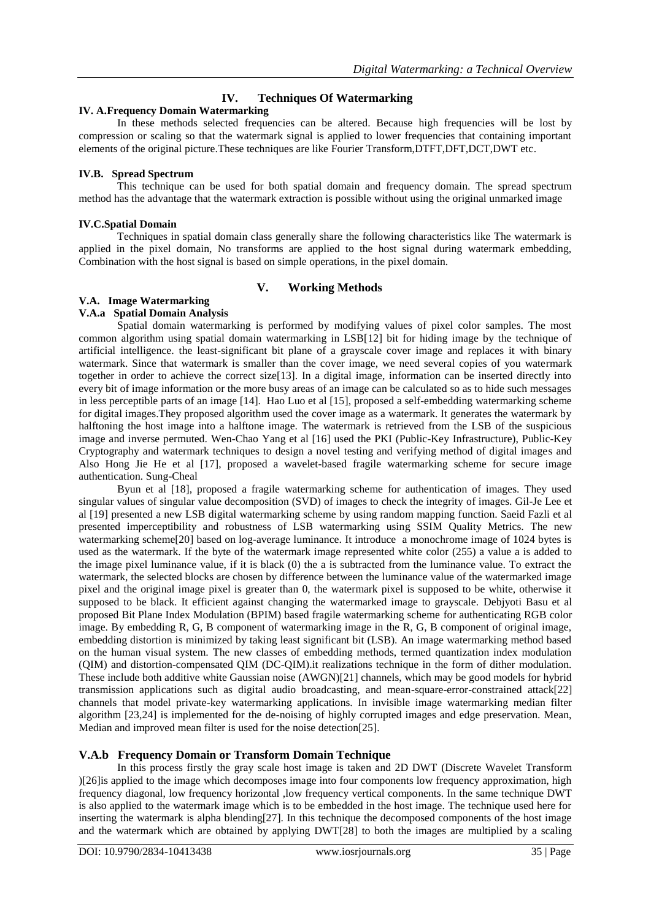# **IV. Techniques Of Watermarking**

#### **IV. A.Frequency Domain Watermarking**

In these methods selected frequencies can be altered. Because high frequencies will be lost by compression or scaling so that the watermark signal is applied to lower frequencies that containing important elements of the original picture.These techniques are like Fourier Transform,DTFT,DFT,DCT,DWT etc.

#### **IV.B. Spread Spectrum**

This technique can be used for both spatial domain and frequency domain. The spread spectrum method has the advantage that the watermark extraction is possible without using the original unmarked image

#### **IV.C.Spatial Domain**

Techniques in spatial domain class generally share the following characteristics like The watermark is applied in the pixel domain, No transforms are applied to the host signal during watermark embedding, Combination with the host signal is based on simple operations, in the pixel domain.

#### **V. Working Methods**

#### **V.A. Image Watermarking**

#### **V.A.a Spatial Domain Analysis**

Spatial domain watermarking is performed by modifying values of pixel color samples. The most common algorithm using spatial domain watermarking in LSB[12] bit for hiding image by the technique of artificial intelligence. the least-significant bit plane of a grayscale cover image and replaces it with binary watermark. Since that watermark is smaller than the cover image, we need several copies of you watermark together in order to achieve the correct size[13]. In a digital image, information can be inserted directly into every bit of image information or the more busy areas of an image can be calculated so as to hide such messages in less perceptible parts of an image [14]. Hao Luo et al [15], proposed a self-embedding watermarking scheme for digital images.They proposed algorithm used the cover image as a watermark. It generates the watermark by halftoning the host image into a halftone image. The watermark is retrieved from the LSB of the suspicious image and inverse permuted. Wen-Chao Yang et al [16] used the PKI (Public-Key Infrastructure), Public-Key Cryptography and watermark techniques to design a novel testing and verifying method of digital images and Also Hong Jie He et al [17], proposed a wavelet-based fragile watermarking scheme for secure image authentication. Sung-Cheal

Byun et al [18], proposed a fragile watermarking scheme for authentication of images. They used singular values of singular value decomposition (SVD) of images to check the integrity of images. Gil-Je Lee et al [19] presented a new LSB digital watermarking scheme by using random mapping function. Saeid Fazli et al presented imperceptibility and robustness of LSB watermarking using SSIM Quality Metrics. The new watermarking scheme[20] based on log-average luminance. It introduce a monochrome image of 1024 bytes is used as the watermark. If the byte of the watermark image represented white color (255) a value a is added to the image pixel luminance value, if it is black (0) the a is subtracted from the luminance value. To extract the watermark, the selected blocks are chosen by difference between the luminance value of the watermarked image pixel and the original image pixel is greater than 0, the watermark pixel is supposed to be white, otherwise it supposed to be black. It efficient against changing the watermarked image to grayscale. Debjyoti Basu et al proposed Bit Plane Index Modulation (BPIM) based fragile watermarking scheme for authenticating RGB color image. By embedding R, G, B component of watermarking image in the R, G, B component of original image, embedding distortion is minimized by taking least significant bit (LSB). An image watermarking method based on the human visual system. The new classes of embedding methods, termed quantization index modulation (QIM) and distortion-compensated QIM (DC-QIM).it realizations technique in the form of dither modulation. These include both additive white Gaussian noise (AWGN)[21] channels, which may be good models for hybrid transmission applications such as digital audio broadcasting, and mean-square-error-constrained attack[22] channels that model private-key watermarking applications. In invisible image watermarking median filter algorithm [23,24] is implemented for the de-noising of highly corrupted images and edge preservation. Mean, Median and improved mean filter is used for the noise detection[25].

#### **V.A.b Frequency Domain or Transform Domain Technique**

In this process firstly the gray scale host image is taken and 2D DWT (Discrete Wavelet Transform )[26]is applied to the image which decomposes image into four components low frequency approximation, high frequency diagonal, low frequency horizontal ,low frequency vertical components. In the same technique DWT is also applied to the watermark image which is to be embedded in the host image. The technique used here for inserting the watermark is alpha blending[27]. In this technique the decomposed components of the host image and the watermark which are obtained by applying DWT[28] to both the images are multiplied by a scaling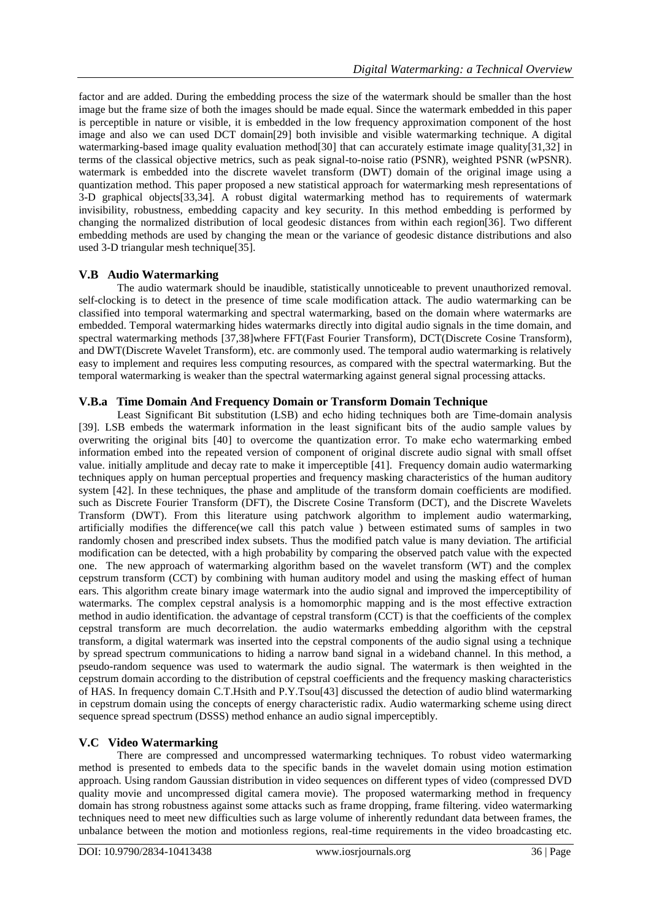factor and are added. During the embedding process the size of the watermark should be smaller than the host image but the frame size of both the images should be made equal. Since the watermark embedded in this paper is perceptible in nature or visible, it is embedded in the low frequency approximation component of the host image and also we can used DCT domain[29] both invisible and visible watermarking technique. A digital watermarking-based image quality evaluation method [30] that can accurately estimate image quality [31,32] in terms of the classical objective metrics, such as peak signal-to-noise ratio (PSNR), weighted PSNR (wPSNR). watermark is embedded into the discrete wavelet transform (DWT) domain of the original image using a quantization method. This paper proposed a new statistical approach for watermarking mesh representations of 3-D graphical objects[33,34]. A robust digital watermarking method has to requirements of watermark invisibility, robustness, embedding capacity and key security. In this method embedding is performed by changing the normalized distribution of local geodesic distances from within each region[36]. Two different embedding methods are used by changing the mean or the variance of geodesic distance distributions and also used 3-D triangular mesh technique[35].

## **V.B Audio Watermarking**

The audio watermark should be inaudible, statistically unnoticeable to prevent unauthorized removal. self-clocking is to detect in the presence of time scale modification attack. The audio watermarking can be classified into temporal watermarking and spectral watermarking, based on the domain where watermarks are embedded. Temporal watermarking hides watermarks directly into digital audio signals in the time domain, and spectral watermarking methods [37,38]where FFT(Fast Fourier Transform), DCT(Discrete Cosine Transform), and DWT(Discrete Wavelet Transform), etc. are commonly used. The temporal audio watermarking is relatively easy to implement and requires less computing resources, as compared with the spectral watermarking. But the temporal watermarking is weaker than the spectral watermarking against general signal processing attacks.

## **V.B.a Time Domain And Frequency Domain or Transform Domain Technique**

Least Significant Bit substitution (LSB) and echo hiding techniques both are Time-domain analysis [39]. LSB embeds the watermark information in the least significant bits of the audio sample values by overwriting the original bits [40] to overcome the quantization error. To make echo watermarking embed information embed into the repeated version of component of original discrete audio signal with small offset value. initially amplitude and decay rate to make it imperceptible [41]. Frequency domain audio watermarking techniques apply on human perceptual properties and frequency masking characteristics of the human auditory system [42]. In these techniques, the phase and amplitude of the transform domain coefficients are modified. such as Discrete Fourier Transform (DFT), the Discrete Cosine Transform (DCT), and the Discrete Wavelets Transform (DWT). From this literature using patchwork algorithm to implement audio watermarking, artificially modifies the difference(we call this patch value ) between estimated sums of samples in two randomly chosen and prescribed index subsets. Thus the modified patch value is many deviation. The artificial modification can be detected, with a high probability by comparing the observed patch value with the expected one. The new approach of watermarking algorithm based on the wavelet transform (WT) and the complex cepstrum transform (CCT) by combining with human auditory model and using the masking effect of human ears. This algorithm create binary image watermark into the audio signal and improved the imperceptibility of watermarks. The complex cepstral analysis is a homomorphic mapping and is the most effective extraction method in audio identification. the advantage of cepstral transform (CCT) is that the coefficients of the complex cepstral transform are much decorrelation. the audio watermarks embedding algorithm with the cepstral transform, a digital watermark was inserted into the cepstral components of the audio signal using a technique by spread spectrum communications to hiding a narrow band signal in a wideband channel. In this method, a pseudo-random sequence was used to watermark the audio signal. The watermark is then weighted in the cepstrum domain according to the distribution of cepstral coefficients and the frequency masking characteristics of HAS. In frequency domain C.T.Hsith and P.Y.Tsou[43] discussed the detection of audio blind watermarking in cepstrum domain using the concepts of energy characteristic radix. Audio watermarking scheme using direct sequence spread spectrum (DSSS) method enhance an audio signal imperceptibly.

#### **V.C Video Watermarking**

There are compressed and uncompressed watermarking techniques. To robust video watermarking method is presented to embeds data to the specific bands in the wavelet domain using motion estimation approach. Using random Gaussian distribution in video sequences on different types of video (compressed DVD quality movie and uncompressed digital camera movie). The proposed watermarking method in frequency domain has strong robustness against some attacks such as frame dropping, frame filtering. video watermarking techniques need to meet new difficulties such as large volume of inherently redundant data between frames, the unbalance between the motion and motionless regions, real-time requirements in the video broadcasting etc.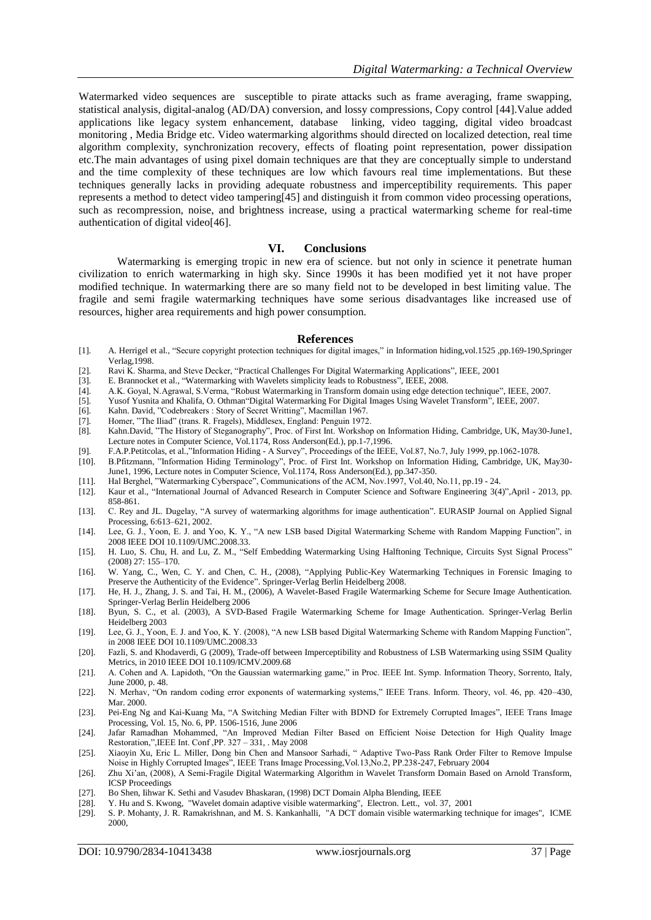Watermarked video sequences are susceptible to pirate attacks such as frame averaging, frame swapping, statistical analysis, digital-analog (AD/DA) conversion, and lossy compressions, Copy control [44].Value added applications like legacy system enhancement, database linking, video tagging, digital video broadcast monitoring , Media Bridge etc. Video watermarking algorithms should directed on localized detection, real time algorithm complexity, synchronization recovery, effects of floating point representation, power dissipation etc.The main advantages of using pixel domain techniques are that they are conceptually simple to understand and the time complexity of these techniques are low which favours real time implementations. But these techniques generally lacks in providing adequate robustness and imperceptibility requirements. This paper represents a method to detect video tampering[45] and distinguish it from common video processing operations, such as recompression, noise, and brightness increase, using a practical watermarking scheme for real-time authentication of digital video[46].

#### **VI. Conclusions**

Watermarking is emerging tropic in new era of science. but not only in science it penetrate human civilization to enrich watermarking in high sky. Since 1990s it has been modified yet it not have proper modified technique. In watermarking there are so many field not to be developed in best limiting value. The fragile and semi fragile watermarking techniques have some serious disadvantages like increased use of resources, higher area requirements and high power consumption.

#### **References**

- [1]. A. Herrigel et al., "Secure copyright protection techniques for digital images," in Information hiding,vol.1525 ,pp.169-190,Springer Verlag,1998.
- [2]. Ravi K. Sharma, and Steve Decker, "Practical Challenges For Digital Watermarking Applications", IEEE, 2001
- [3]. E. Brannocket et al., "Watermarking with Wavelets simplicity leads to Robustness", IEEE, 2008.
- [4]. A.K. Goyal, N.Agrawal, S.Verma, "Robust Watermarking in Transform domain using edge detection technique", IEEE, 2007.
- [5]. Yusof Yusnita and Khalifa, O. Othman "Digital Watermarking For Digital Images Using Wavelet Transform", IEEE, 2007.<br>[6]. Kahn. David, "Codebreakers : Story of Secret Writting", Macmillan 1967.
- Kahn. David, "Codebreakers : Story of Secret Writting", Macmillan 1967.
- [7]. Homer, "The Iliad" (trans. R. Fragels), Middlesex, England: Penguin 1972.
- [8]. Kahn.David, "The History of Steganography", Proc. of First Int. Workshop on Information Hiding, Cambridge, UK, May30-June1, Lecture notes in Computer Science, Vol.1174, Ross Anderson(Ed.), pp.1-7,1996.
- [9]. F.A.P.Petitcolas, et al.,"Information Hiding A Survey", Proceedings of the IEEE, Vol.87, No.7, July 1999, pp.1062-1078.
- [10]. B.Pfitzmann, "Information Hiding Terminology", Proc. of First Int. Workshop on Information Hiding, Cambridge, UK, May30- June1, 1996, Lecture notes in Computer Science, Vol.1174, Ross Anderson(Ed.), pp.347-350.
- [11]. Hal Berghel, "Watermarking Cyberspace", Communications of the ACM, Nov.1997, Vol.40, No.11, pp.19 24.
- [12]. Kaur et al., "International Journal of Advanced Research in Computer Science and Software Engineering 3(4)",April 2013, pp. 858-861.
- [13]. C. Rey and JL. Dugelay, "A survey of watermarking algorithms for image authentication". EURASIP Journal on Applied Signal Processing, 6:613–621, 2002.
- [14]. Lee, G. J., Yoon, E. J. and Yoo, K. Y., "A new LSB based Digital Watermarking Scheme with Random Mapping Function", in 2008 IEEE DOI 10.1109/UMC.2008.33.
- [15]. H. Luo, S. Chu, H. and Lu, Z. M., "Self Embedding Watermarking Using Halftoning Technique, Circuits Syst Signal Process" (2008) 27: 155–170.
- [16]. W. Yang, C., Wen, C. Y. and Chen, C. H., (2008), "Applying Public-Key Watermarking Techniques in Forensic Imaging to Preserve the Authenticity of the Evidence". Springer-Verlag Berlin Heidelberg 2008.
- [17]. He, H. J., Zhang, J. S. and Tai, H. M., (2006), A Wavelet-Based Fragile Watermarking Scheme for Secure Image Authentication. Springer-Verlag Berlin Heidelberg 2006
- [18]. Byun, S. C., et al. (2003), A SVD-Based Fragile Watermarking Scheme for Image Authentication. Springer-Verlag Berlin Heidelberg 2003
- [19]. Lee, G. J., Yoon, E. J. and Yoo, K. Y. (2008), "A new LSB based Digital Watermarking Scheme with Random Mapping Function", in 2008 IEEE DOI 10.1109/UMC.2008.33
- [20]. Fazli, S. and Khodaverdi, G (2009), Trade-off between Imperceptibility and Robustness of LSB Watermarking using SSIM Quality Metrics, in 2010 IEEE DOI 10.1109/ICMV.2009.68
- [21]. A. Cohen and A. Lapidoth, "On the Gaussian watermarking game," in Proc. IEEE Int. Symp. Information Theory, Sorrento, Italy, June 2000, p. 48.
- [22]. N. Merhav, "On random coding error exponents of watermarking systems," IEEE Trans. Inform. Theory, vol. 46, pp. 420–430, Mar. 2000.
- [23]. Pei-Eng Ng and Kai-Kuang Ma, "A Switching Median Filter with BDND for Extremely Corrupted Images", IEEE Trans Image Processing, Vol. 15, No. 6, PP. 1506-1516, June 2006
- [24]. Jafar Ramadhan Mohammed, "An Improved Median Filter Based on Efficient Noise Detection for High Quality Image Restoration,",IEEE Int. Conf ,PP. 327 – 331, . May 2008
- [25]. Xiaoyin Xu, Eric L. Miller, Dong bin Chen and Mansoor Sarhadi, " Adaptive Two-Pass Rank Order Filter to Remove Impulse Noise in Highly Corrupted Images", IEEE Trans Image Processing,Vol.13,No.2, PP.238-247, February 2004
- [26]. Zhu Xi'an, (2008), A Semi-Fragile Digital Watermarking Algorithm in Wavelet Transform Domain Based on Arnold Transform, ICSP Proceedings
- [27]. Bo Shen, Iihwar K. Sethi and Vasudev Bhaskaran, (1998) DCT Domain Alpha Blending, IEEE
- [28]. Y. Hu and S. Kwong, "Wavelet domain adaptive visible watermarking", Electron. Lett., vol. 37, 2001 [29]. S. P. Mohanty, J. R. Ramakrishnan, and M. S. Kankanhalli, "A DCT domain visible watermarking tectron.
- [29]. S. P. Mohanty, J. R. Ramakrishnan, and M. S. Kankanhalli, "A DCT domain visible watermarking technique for images", ICME 2000,